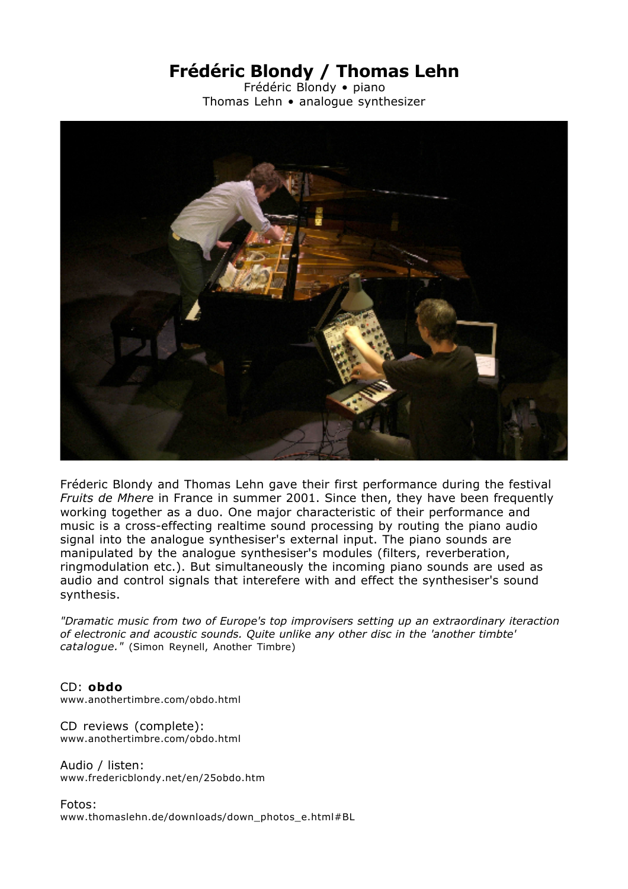## **Frédéric Blondy / Thomas Lehn**

Frédéric Blondy • piano Thomas Lehn • analogue synthesizer



Fréderic Blondy and Thomas Lehn gave their first performance during the festival *Fruits de Mhere* in France in summer 2001. Since then, they have been frequently working together as a duo. One major characteristic of their performance and music is a cross-effecting realtime sound processing by routing the piano audio signal into the analogue synthesiser's external input. The piano sounds are manipulated by the analogue synthesiser's modules (filters, reverberation, ringmodulation etc.). But simultaneously the incoming piano sounds are used as audio and control signals that interefere with and effect the synthesiser's sound synthesis.

*"Dramatic music from two of Europe's top improvisers setting up an extraordinary iteraction of electronic and acoustic sounds. Quite unlike any other disc in the 'another timbte' catalogue."* (Simon Reynell, Another Timbre)

CD: **obdo** www.anothertimbre.com/obdo.html

CD reviews (complete): www.anothertimbre.com/obdo.html

Audio / listen: www.fredericblondy.net/en/25obdo.htm

Fotos: www.thomaslehn.de/downloads/down\_photos\_e.html#BL